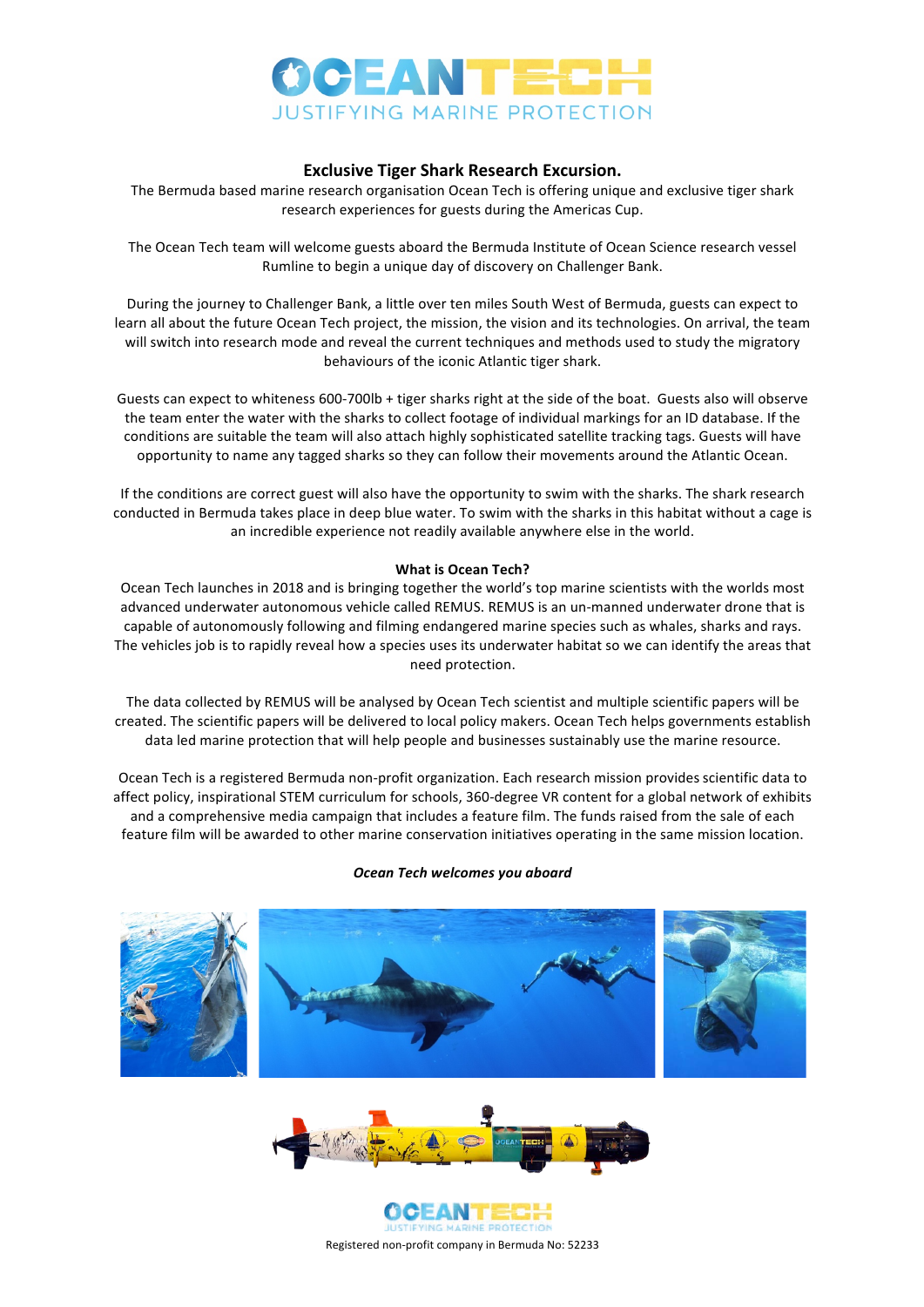

## **Exclusive Tiger Shark Research Excursion.**

The Bermuda based marine research organisation Ocean Tech is offering unique and exclusive tiger shark research experiences for guests during the Americas Cup.

The Ocean Tech team will welcome guests aboard the Bermuda Institute of Ocean Science research vessel Rumline to begin a unique day of discovery on Challenger Bank.

During the journey to Challenger Bank, a little over ten miles South West of Bermuda, guests can expect to learn all about the future Ocean Tech project, the mission, the vision and its technologies. On arrival, the team will switch into research mode and reveal the current techniques and methods used to study the migratory behaviours of the iconic Atlantic tiger shark.

Guests can expect to whiteness 600-700lb + tiger sharks right at the side of the boat. Guests also will observe the team enter the water with the sharks to collect footage of individual markings for an ID database. If the conditions are suitable the team will also attach highly sophisticated satellite tracking tags. Guests will have opportunity to name any tagged sharks so they can follow their movements around the Atlantic Ocean.

If the conditions are correct guest will also have the opportunity to swim with the sharks. The shark research conducted in Bermuda takes place in deep blue water. To swim with the sharks in this habitat without a cage is an incredible experience not readily available anywhere else in the world.

## **What is Ocean Tech?**

Ocean Tech launches in 2018 and is bringing together the world's top marine scientists with the worlds most advanced underwater autonomous vehicle called REMUS. REMUS is an un-manned underwater drone that is capable of autonomously following and filming endangered marine species such as whales, sharks and rays. The vehicles job is to rapidly reveal how a species uses its underwater habitat so we can identify the areas that need protection.

The data collected by REMUS will be analysed by Ocean Tech scientist and multiple scientific papers will be created. The scientific papers will be delivered to local policy makers. Ocean Tech helps governments establish data led marine protection that will help people and businesses sustainably use the marine resource.

Ocean Tech is a registered Bermuda non-profit organization. Each research mission provides scientific data to affect policy, inspirational STEM curriculum for schools, 360-degree VR content for a global network of exhibits and a comprehensive media campaign that includes a feature film. The funds raised from the sale of each feature film will be awarded to other marine conservation initiatives operating in the same mission location.

## *Ocean Tech welcomes you aboard*







Registered non-profit company in Bermuda No: 52233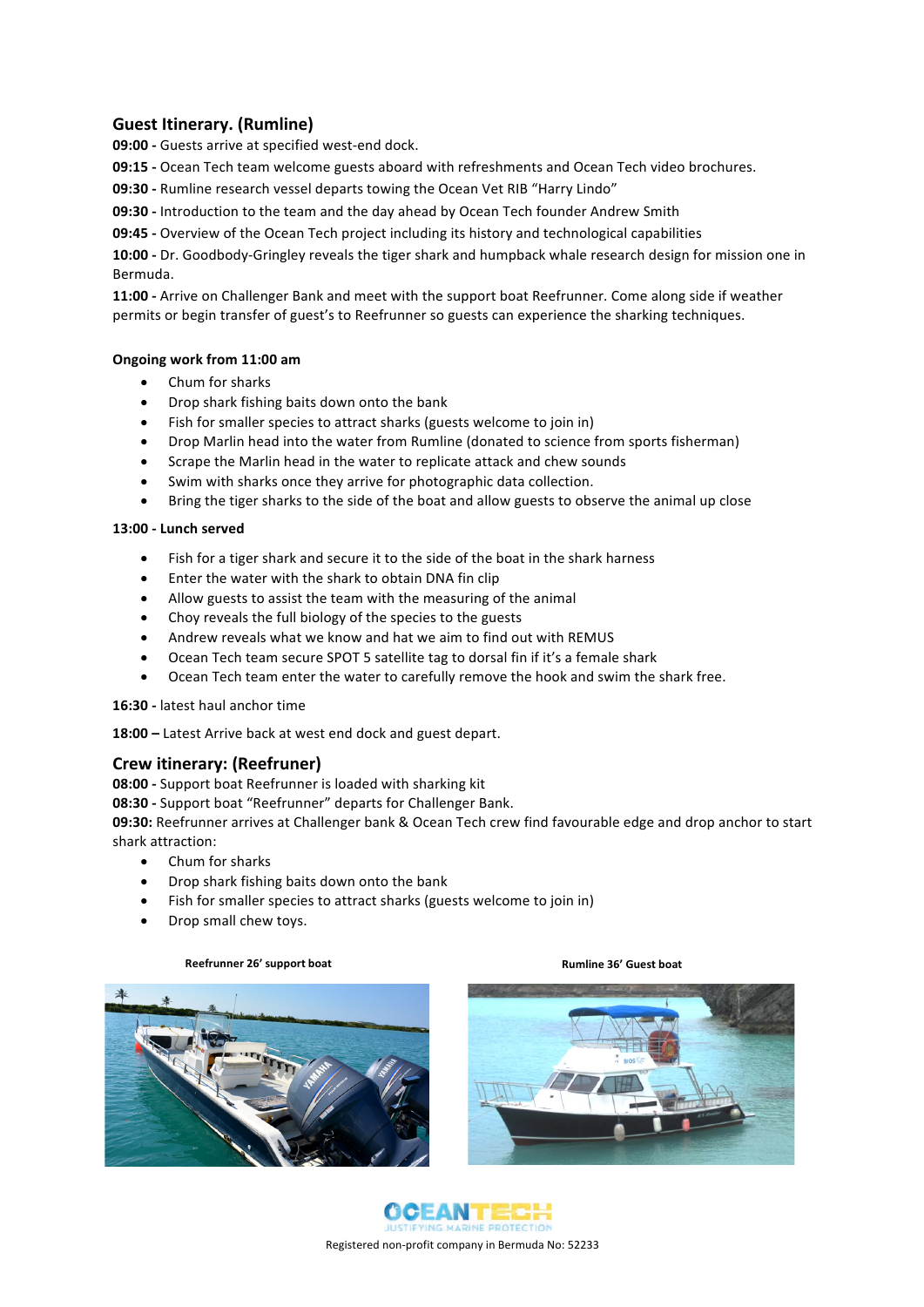# **Guest Itinerary. (Rumline)**

**09:00 -** Guests arrive at specified west-end dock.

**09:15** - Ocean Tech team welcome guests aboard with refreshments and Ocean Tech video brochures.

**09:30** - Rumline research vessel departs towing the Ocean Vet RIB "Harry Lindo"

**09:30** - Introduction to the team and the day ahead by Ocean Tech founder Andrew Smith

**09:45** - Overview of the Ocean Tech project including its history and technological capabilities

**10:00** - Dr. Goodbody-Gringley reveals the tiger shark and humpback whale research design for mission one in Bermuda.

11:00 - Arrive on Challenger Bank and meet with the support boat Reefrunner. Come along side if weather permits or begin transfer of guest's to Reefrunner so guests can experience the sharking techniques.

## **Ongoing work from 11:00 am**

- Chum for sharks
- Drop shark fishing baits down onto the bank
- Fish for smaller species to attract sharks (guests welcome to join in)
- Drop Marlin head into the water from Rumline (donated to science from sports fisherman)
- Scrape the Marlin head in the water to replicate attack and chew sounds
- Swim with sharks once they arrive for photographic data collection.
- Bring the tiger sharks to the side of the boat and allow guests to observe the animal up close

## **13:00 - Lunch served**

- Fish for a tiger shark and secure it to the side of the boat in the shark harness
- Enter the water with the shark to obtain DNA fin clip
- Allow guests to assist the team with the measuring of the animal
- Choy reveals the full biology of the species to the guests
- Andrew reveals what we know and hat we aim to find out with REMUS
- Ocean Tech team secure SPOT 5 satellite tag to dorsal fin if it's a female shark
- Ocean Tech team enter the water to carefully remove the hook and swim the shark free.

## 16:30 - latest haul anchor time

18:00 – Latest Arrive back at west end dock and guest depart.

## **Crew itinerary: (Reefruner)**

**08:00** - Support boat Reefrunner is loaded with sharking kit

**08:30 -** Support boat "Reefrunner" departs for Challenger Bank.

**09:30:** Reefrunner arrives at Challenger bank & Ocean Tech crew find favourable edge and drop anchor to start shark attraction:

- Chum for sharks
- Drop shark fishing baits down onto the bank
- Fish for smaller species to attract sharks (guests welcome to join in)
- Drop small chew toys.







Registered non-profit company in Bermuda No: 52233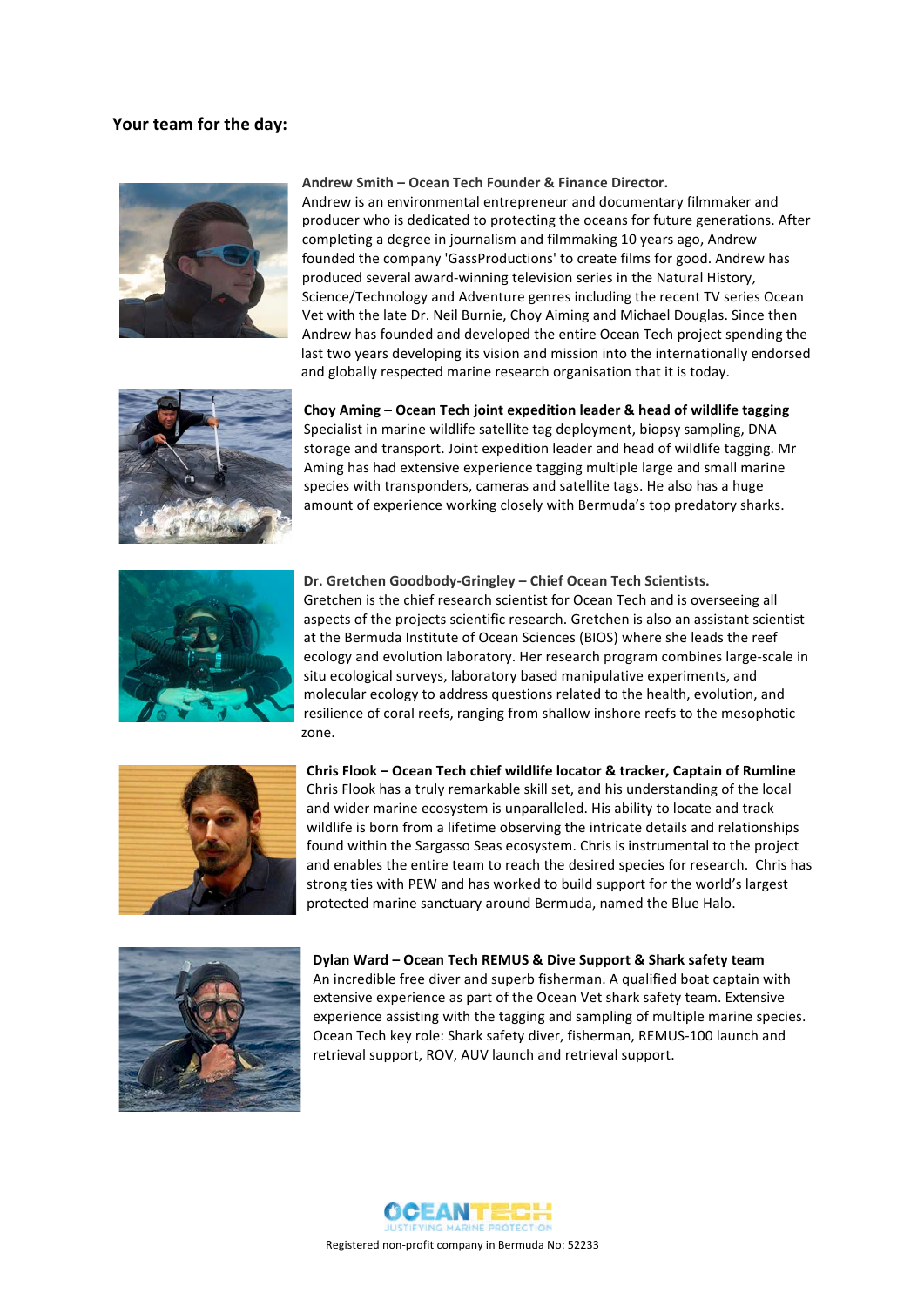## Your team for the day:



### Andrew Smith – Ocean Tech Founder & Finance Director.

Andrew is an environmental entrepreneur and documentary filmmaker and producer who is dedicated to protecting the oceans for future generations. After completing a degree in journalism and filmmaking 10 years ago, Andrew founded the company 'GassProductions' to create films for good. Andrew has produced several award-winning television series in the Natural History, Science/Technology and Adventure genres including the recent TV series Ocean Vet with the late Dr. Neil Burnie, Choy Aiming and Michael Douglas. Since then Andrew has founded and developed the entire Ocean Tech project spending the last two years developing its vision and mission into the internationally endorsed and globally respected marine research organisation that it is today.



Choy Aming – Ocean Tech joint expedition leader & head of wildlife tagging Specialist in marine wildlife satellite tag deployment, biopsy sampling, DNA storage and transport. Joint expedition leader and head of wildlife tagging. Mr Aming has had extensive experience tagging multiple large and small marine species with transponders, cameras and satellite tags. He also has a huge amount of experience working closely with Bermuda's top predatory sharks.



Dr. Gretchen Goodbody-Gringley - Chief Ocean Tech Scientists. Gretchen is the chief research scientist for Ocean Tech and is overseeing all aspects of the projects scientific research. Gretchen is also an assistant scientist at the Bermuda Institute of Ocean Sciences (BIOS) where she leads the reef ecology and evolution laboratory. Her research program combines large-scale in situ ecological surveys, laboratory based manipulative experiments, and molecular ecology to address questions related to the health, evolution, and resilience of coral reefs, ranging from shallow inshore reefs to the mesophotic zone. 



**Chris Flook - Ocean Tech chief wildlife locator & tracker, Captain of Rumline** Chris Flook has a truly remarkable skill set, and his understanding of the local and wider marine ecosystem is unparalleled. His ability to locate and track wildlife is born from a lifetime observing the intricate details and relationships found within the Sargasso Seas ecosystem. Chris is instrumental to the project and enables the entire team to reach the desired species for research. Chris has strong ties with PEW and has worked to build support for the world's largest protected marine sanctuary around Bermuda, named the Blue Halo.



**Dylan Ward – Ocean Tech REMUS & Dive Support & Shark safety team** An incredible free diver and superb fisherman. A qualified boat captain with extensive experience as part of the Ocean Vet shark safety team. Extensive experience assisting with the tagging and sampling of multiple marine species. Ocean Tech key role: Shark safety diver, fisherman, REMUS-100 launch and retrieval support, ROV, AUV launch and retrieval support.

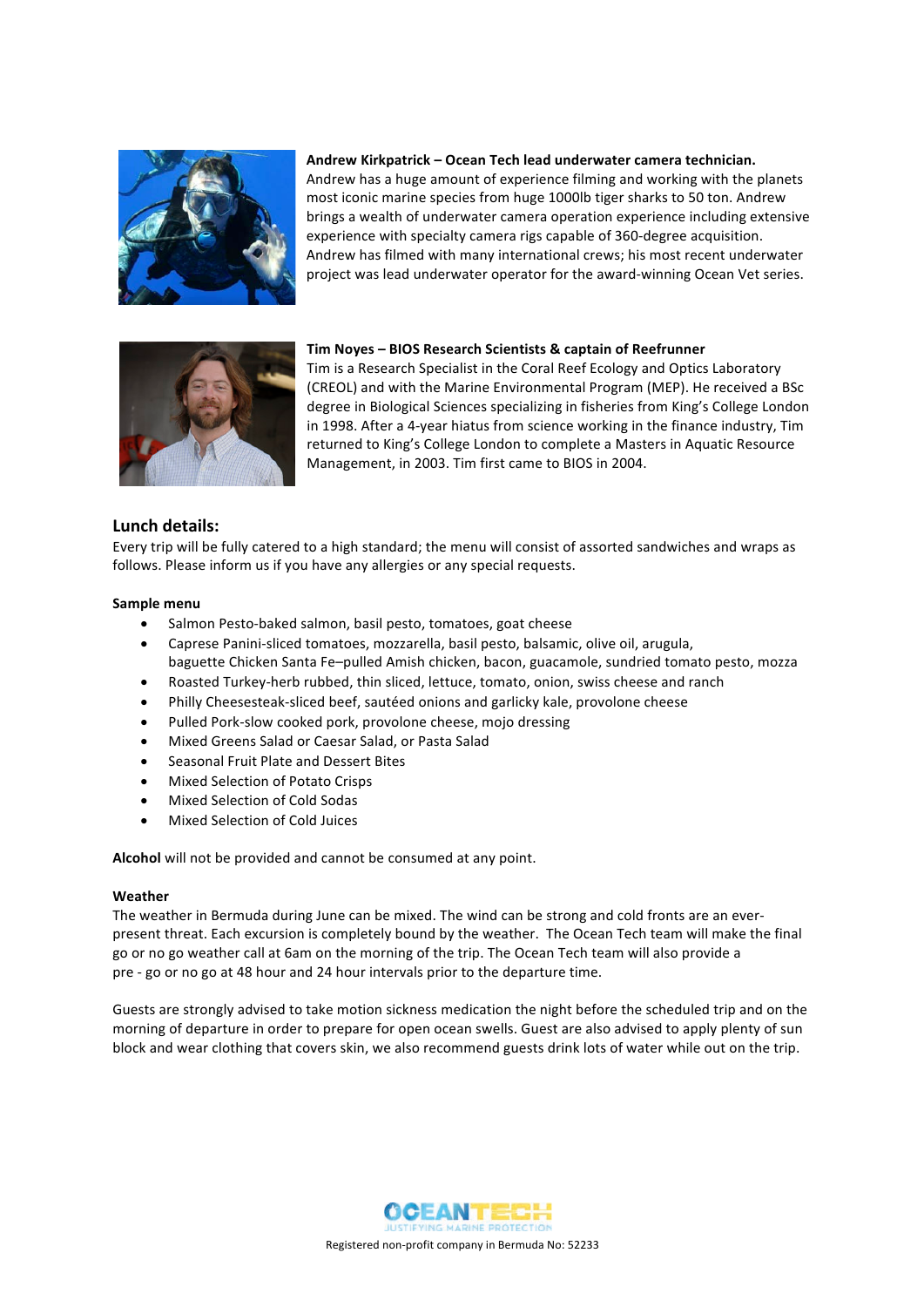

## Andrew Kirkpatrick - Ocean Tech lead underwater camera technician.

Andrew has a huge amount of experience filming and working with the planets most iconic marine species from huge 1000lb tiger sharks to 50 ton. Andrew brings a wealth of underwater camera operation experience including extensive experience with specialty camera rigs capable of 360-degree acquisition. Andrew has filmed with many international crews; his most recent underwater project was lead underwater operator for the award-winning Ocean Vet series.



## **Tim Noyes - BIOS Research Scientists & captain of Reefrunner**

Tim is a Research Specialist in the Coral Reef Ecology and Optics Laboratory (CREOL) and with the Marine Environmental Program (MEP). He received a BSc degree in Biological Sciences specializing in fisheries from King's College London in 1998. After a 4-year hiatus from science working in the finance industry, Tim returned to King's College London to complete a Masters in Aquatic Resource Management, in 2003. Tim first came to BIOS in 2004.

# **Lunch details:**

Every trip will be fully catered to a high standard; the menu will consist of assorted sandwiches and wraps as follows. Please inform us if you have any allergies or any special requests.

## **Sample menu**

- Salmon Pesto-baked salmon, basil pesto, tomatoes, goat cheese
- Caprese Panini-sliced tomatoes, mozzarella, basil pesto, balsamic, olive oil, arugula, baguette Chicken Santa Fe-pulled Amish chicken, bacon, guacamole, sundried tomato pesto, mozza
- Roasted Turkey-herb rubbed, thin sliced, lettuce, tomato, onion, swiss cheese and ranch
- Philly Cheesesteak-sliced beef, sautéed onions and garlicky kale, provolone cheese
- Pulled Pork-slow cooked pork, provolone cheese, mojo dressing
- Mixed Greens Salad or Caesar Salad, or Pasta Salad
- Seasonal Fruit Plate and Dessert Bites
- Mixed Selection of Potato Crisps
- Mixed Selection of Cold Sodas
- Mixed Selection of Cold Juices

**Alcohol** will not be provided and cannot be consumed at any point.

## **Weather**

The weather in Bermuda during June can be mixed. The wind can be strong and cold fronts are an everpresent threat. Each excursion is completely bound by the weather. The Ocean Tech team will make the final go or no go weather call at 6am on the morning of the trip. The Ocean Tech team will also provide a pre - go or no go at 48 hour and 24 hour intervals prior to the departure time.

Guests are strongly advised to take motion sickness medication the night before the scheduled trip and on the morning of departure in order to prepare for open ocean swells. Guest are also advised to apply plenty of sun block and wear clothing that covers skin, we also recommend guests drink lots of water while out on the trip.